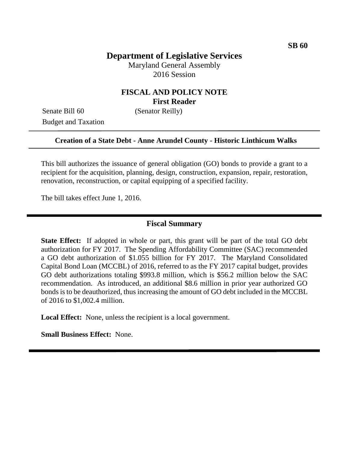# **Department of Legislative Services**

Maryland General Assembly 2016 Session

### **FISCAL AND POLICY NOTE First Reader**

Senate Bill 60 (Senator Reilly) Budget and Taxation

#### **Creation of a State Debt - Anne Arundel County - Historic Linthicum Walks**

This bill authorizes the issuance of general obligation (GO) bonds to provide a grant to a recipient for the acquisition, planning, design, construction, expansion, repair, restoration, renovation, reconstruction, or capital equipping of a specified facility.

The bill takes effect June 1, 2016.

#### **Fiscal Summary**

**State Effect:** If adopted in whole or part, this grant will be part of the total GO debt authorization for FY 2017. The Spending Affordability Committee (SAC) recommended a GO debt authorization of \$1.055 billion for FY 2017. The Maryland Consolidated Capital Bond Loan (MCCBL) of 2016, referred to as the FY 2017 capital budget, provides GO debt authorizations totaling \$993.8 million, which is \$56.2 million below the SAC recommendation. As introduced, an additional \$8.6 million in prior year authorized GO bonds is to be deauthorized, thus increasing the amount of GO debt included in the MCCBL of 2016 to \$1,002.4 million.

**Local Effect:** None, unless the recipient is a local government.

**Small Business Effect:** None.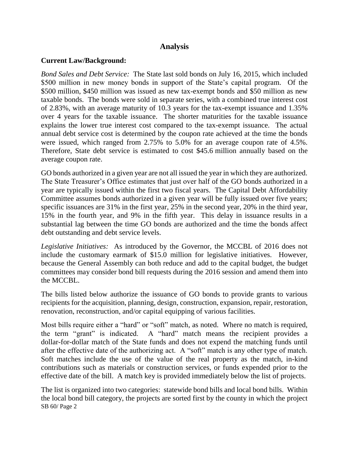## **Analysis**

#### **Current Law/Background:**

*Bond Sales and Debt Service:* The State last sold bonds on July 16, 2015, which included \$500 million in new money bonds in support of the State's capital program. Of the \$500 million, \$450 million was issued as new tax-exempt bonds and \$50 million as new taxable bonds. The bonds were sold in separate series, with a combined true interest cost of 2.83%, with an average maturity of 10.3 years for the tax-exempt issuance and 1.35% over 4 years for the taxable issuance. The shorter maturities for the taxable issuance explains the lower true interest cost compared to the tax-exempt issuance. The actual annual debt service cost is determined by the coupon rate achieved at the time the bonds were issued, which ranged from 2.75% to 5.0% for an average coupon rate of 4.5%. Therefore, State debt service is estimated to cost \$45.6 million annually based on the average coupon rate.

GO bonds authorized in a given year are not all issued the year in which they are authorized. The State Treasurer's Office estimates that just over half of the GO bonds authorized in a year are typically issued within the first two fiscal years. The Capital Debt Affordability Committee assumes bonds authorized in a given year will be fully issued over five years; specific issuances are 31% in the first year, 25% in the second year, 20% in the third year, 15% in the fourth year, and 9% in the fifth year. This delay in issuance results in a substantial lag between the time GO bonds are authorized and the time the bonds affect debt outstanding and debt service levels.

*Legislative Initiatives:* As introduced by the Governor, the MCCBL of 2016 does not include the customary earmark of \$15.0 million for legislative initiatives. However, because the General Assembly can both reduce and add to the capital budget, the budget committees may consider bond bill requests during the 2016 session and amend them into the MCCBL.

The bills listed below authorize the issuance of GO bonds to provide grants to various recipients for the acquisition, planning, design, construction, expansion, repair, restoration, renovation, reconstruction, and/or capital equipping of various facilities.

Most bills require either a "hard" or "soft" match, as noted. Where no match is required, the term "grant" is indicated. A "hard" match means the recipient provides a dollar-for-dollar match of the State funds and does not expend the matching funds until after the effective date of the authorizing act. A "soft" match is any other type of match. Soft matches include the use of the value of the real property as the match, in-kind contributions such as materials or construction services, or funds expended prior to the effective date of the bill. A match key is provided immediately below the list of projects.

SB 60/ Page 2 The list is organized into two categories: statewide bond bills and local bond bills. Within the local bond bill category, the projects are sorted first by the county in which the project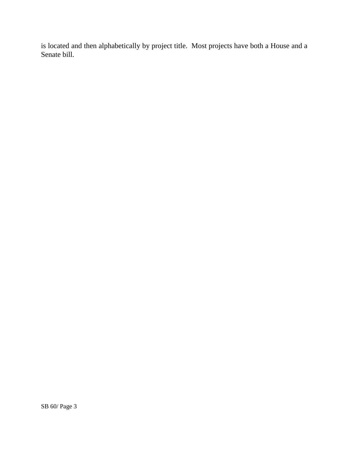is located and then alphabetically by project title. Most projects have both a House and a Senate bill.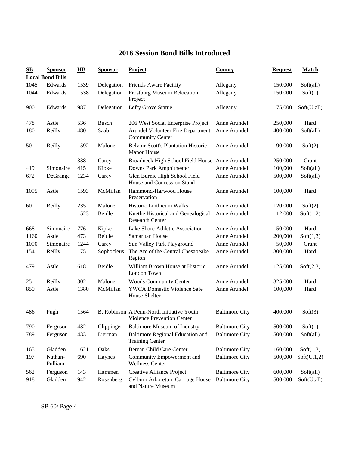## **2016 Session Bond Bills Introduced**

| $\mathbf{S}\mathbf{B}$ | <b>Sponsor</b><br><b>Local Bond Bills</b> | $\overline{HB}$ | <b>Sponsor</b> | <b>Project</b>                                                          | <b>County</b>         | <b>Request</b> | <b>Match</b> |
|------------------------|-------------------------------------------|-----------------|----------------|-------------------------------------------------------------------------|-----------------------|----------------|--------------|
| 1045                   | Edwards                                   | 1539            | Delegation     | Friends Aware Facility                                                  | Allegany              | 150,000        | Soft(all)    |
| 1044                   | Edwards                                   | 1538            | Delegation     | <b>Frostburg Museum Relocation</b><br>Project                           | Allegany              | 150,000        | Soft(1)      |
| 900                    | Edwards                                   | 987             | Delegation     | Lefty Grove Statue                                                      | Allegany              | 75,000         | Soft(U,all)  |
| 478                    | Astle                                     | 536             | <b>Busch</b>   | 206 West Social Enterprise Project                                      | Anne Arundel          | 250,000        | Hard         |
| 180                    | Reilly                                    | 480             | Saab           | Arundel Volunteer Fire Department<br><b>Community Center</b>            | Anne Arundel          | 400,000        | Soft(all)    |
| 50                     | Reilly                                    | 1592            | Malone         | <b>Belvoir-Scott's Plantation Historic</b><br><b>Manor House</b>        | Anne Arundel          | 90,000         | Soft(2)      |
|                        |                                           | 338             | Carey          | Broadneck High School Field House Anne Arundel                          |                       | 250,000        | Grant        |
| 419                    | Simonaire                                 | 415             | Kipke          | Downs Park Amphitheater                                                 | Anne Arundel          | 100,000        | Soft(all)    |
| 672                    | DeGrange                                  | 1234            | Carey          | Glen Burnie High School Field<br>House and Concession Stand             | Anne Arundel          | 500,000        | Soft(all)    |
| 1095                   | Astle                                     | 1593            | McMillan       | Hammond-Harwood House<br>Preservation                                   | Anne Arundel          | 100,000        | Hard         |
| 60                     | Reilly                                    | 235             | Malone         | Historic Linthicum Walks                                                | Anne Arundel          | 120,000        | Soft(2)      |
|                        |                                           | 1523            | Beidle         | Kuethe Historical and Genealogical<br><b>Research Center</b>            | Anne Arundel          | 12,000         | Soft(1,2)    |
| 668                    | Simonaire                                 | 776             | Kipke          | Lake Shore Athletic Association                                         | Anne Arundel          | 50,000         | Hard         |
| 1160                   | Astle                                     | 473             | Beidle         | Samaritan House                                                         | Anne Arundel          | 200,000        | Soft(1,3)    |
| 1090                   | Simonaire                                 | 1244            | Carey          | Sun Valley Park Playground                                              | Anne Arundel          | 50,000         | Grant        |
| 154                    | Reilly                                    | 175             | Sophocleus     | The Arc of the Central Chesapeake<br>Region                             | Anne Arundel          | 300,000        | Hard         |
| 479                    | Astle                                     | 618             | Beidle         | William Brown House at Historic<br>London Town                          | Anne Arundel          | 125,000        | Soft(2,3)    |
| 25                     | Reilly                                    | 302             | Malone         | <b>Woods Community Center</b>                                           | Anne Arundel          | 325,000        | Hard         |
| 850                    | Astle                                     | 1380            | McMillan       | <b>YWCA Domestic Violence Safe</b><br>House Shelter                     | Anne Arundel          | 100,000        | Hard         |
| 486                    | Pugh                                      | 1564            |                | B. Robinson A Penn-North Initiative Youth<br>Violence Prevention Center | <b>Baltimore City</b> | 400,000        | Soft(3)      |
| 790                    | Ferguson                                  | 432             | Clippinger     | <b>Baltimore Museum of Industry</b>                                     | <b>Baltimore City</b> | 500,000        | Soft(1)      |
| 789                    | Ferguson                                  | 433             | Lierman        | Baltimore Regional Education and<br><b>Training Center</b>              | <b>Baltimore City</b> | 500,000        | Soft(all)    |
| 165                    | Gladden                                   | 1621            | Oaks           | Berean Child Care Center                                                | <b>Baltimore City</b> | 160,000        | Soft(1,3)    |
| 197                    | Nathan-<br>Pulliam                        | 690             | Haynes         | Community Empowerment and<br><b>Wellness Center</b>                     | <b>Baltimore City</b> | 500,000        | Soft(U,1,2)  |
| 562                    | Ferguson                                  | 143             | Hammen         | Creative Alliance Project                                               | <b>Baltimore City</b> | 600,000        | Soft(all)    |
| 918                    | Gladden                                   | 942             | Rosenberg      | Cylburn Arboretum Carriage House<br>and Nature Museum                   | <b>Baltimore City</b> | 500,000        | Soft(U,all)  |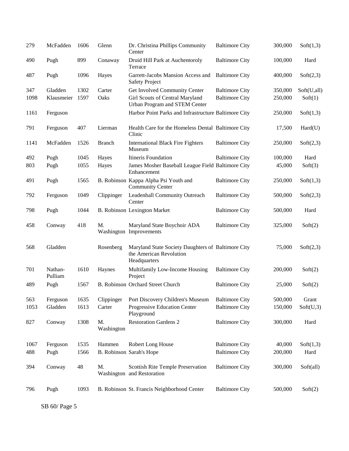| 279  | McFadden           | 1606 | Glenn            | Dr. Christina Phillips Community<br>Center                                                    | <b>Baltimore City</b> | 300,000 | Soft(1,3)   |
|------|--------------------|------|------------------|-----------------------------------------------------------------------------------------------|-----------------------|---------|-------------|
| 490  | Pugh               | 899  | Conaway          | Druid Hill Park at Auchentoroly<br>Terrace                                                    | <b>Baltimore City</b> | 100,000 | Hard        |
| 487  | Pugh               | 1096 | Hayes            | Garrett-Jacobs Mansion Access and<br><b>Safety Project</b>                                    | <b>Baltimore City</b> | 400,000 | Soft(2,3)   |
| 347  | Gladden            | 1302 | Carter           | Get Involved Community Center                                                                 | <b>Baltimore City</b> | 350,000 | Soft(U,all) |
| 1098 | Klausmeier         | 1597 | Oaks             | Girl Scouts of Central Maryland<br>Urban Program and STEM Center                              | <b>Baltimore City</b> | 250,000 | Soft(1)     |
| 1161 | Ferguson           |      |                  | Harbor Point Parks and Infrastructure Baltimore City                                          |                       | 250,000 | Soft(1,3)   |
| 791  | Ferguson           | 407  | Lierman          | Health Care for the Homeless Dental Baltimore City<br>Clinic                                  |                       | 17,500  | Hard(U)     |
| 1141 | McFadden           | 1526 | <b>Branch</b>    | <b>International Black Fire Fighters</b><br>Museum                                            | <b>Baltimore City</b> | 250,000 | Soft(2,3)   |
| 492  | Pugh               | 1045 | Hayes            | Itineris Foundation                                                                           | <b>Baltimore City</b> | 100,000 | Hard        |
| 803  | Pugh               | 1055 | Hayes            | James Mosher Baseball League Field Baltimore City<br>Enhancement                              |                       | 45,000  | Soft(3)     |
| 491  | Pugh               | 1565 |                  | B. Robinson Kappa Alpha Psi Youth and<br><b>Community Center</b>                              | <b>Baltimore City</b> | 250,000 | Soft(1,3)   |
| 792  | Ferguson           | 1049 | Clippinger       | Leadenhall Community Outreach<br>Center                                                       | <b>Baltimore City</b> | 500,000 | Soft(2,3)   |
| 798  | Pugh               | 1044 |                  | <b>B. Robinson Lexington Market</b>                                                           | <b>Baltimore City</b> | 500,000 | Hard        |
| 458  | Conway             | 418  | M.               | Maryland State Boychoir ADA<br>Washington Improvements                                        | <b>Baltimore City</b> | 325,000 | Soft(2)     |
| 568  | Gladden            |      | Rosenberg        | Maryland State Society Daughters of Baltimore City<br>the American Revolution<br>Headquarters |                       | 75,000  | Soft(2,3)   |
| 701  | Nathan-<br>Pulliam | 1610 | Haynes           | Multifamily Low-Income Housing<br>Project                                                     | <b>Baltimore City</b> | 200,000 | Soft(2)     |
| 489  | Pugh               | 1567 |                  | B. Robinson Orchard Street Church                                                             | <b>Baltimore City</b> | 25,000  | Soft(2)     |
| 563  | Ferguson           | 1635 | Clippinger       | Port Discovery Children's Museum                                                              | <b>Baltimore City</b> | 500,000 | Grant       |
| 1053 | Gladden            | 1613 | Carter           | Progressive Education Center<br>Playground                                                    | <b>Baltimore City</b> | 150,000 | Soft(U,3)   |
| 827  | Conway             | 1308 | M.<br>Washington | <b>Restoration Gardens 2</b>                                                                  | <b>Baltimore City</b> | 300,000 | Hard        |
| 1067 | Ferguson           | 1535 | Hammen           | Robert Long House                                                                             | <b>Baltimore City</b> | 40,000  | Soft(1,3)   |
| 488  | Pugh               | 1566 |                  | B. Robinson Sarah's Hope                                                                      | <b>Baltimore City</b> | 200,000 | Hard        |
|      |                    |      |                  |                                                                                               |                       |         |             |
| 394  | Conway             | 48   | M.               | Scottish Rite Temple Preservation<br>Washington and Restoration                               | <b>Baltimore City</b> | 300,000 | Soft(all)   |
| 796  | Pugh               | 1093 |                  | B. Robinson St. Francis Neighborhood Center                                                   | <b>Baltimore City</b> | 500,000 | Soft(2)     |

SB 60/ Page 5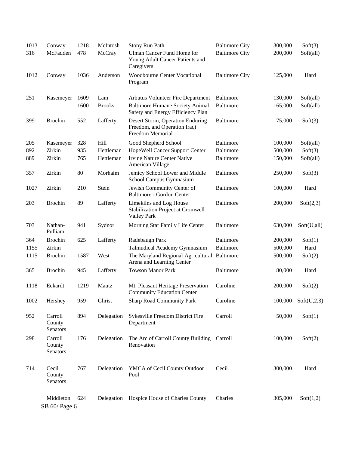| 1013 | Conway                        | 1218 | McIntosh      | Stony Run Path                                                                       | <b>Baltimore City</b> | 300,000 | Soft(3)     |
|------|-------------------------------|------|---------------|--------------------------------------------------------------------------------------|-----------------------|---------|-------------|
| 316  | McFadden                      | 478  | McCray        | Ulman Cancer Fund Home for<br>Young Adult Cancer Patients and<br>Caregivers          | <b>Baltimore City</b> | 200,000 | Soft(all)   |
| 1012 | Conway                        | 1036 | Anderson      | <b>Woodbourne Center Vocational</b><br>Program                                       | <b>Baltimore City</b> | 125,000 | Hard        |
| 251  | Kasemeyer                     | 1609 | Lam           | Arbutus Volunteer Fire Department                                                    | Baltimore             | 130,000 | Soft(all)   |
|      |                               | 1600 | <b>Brooks</b> | <b>Baltimore Humane Society Animal</b><br>Safety and Energy Efficiency Plan          | <b>Baltimore</b>      | 165,000 | Soft(all)   |
| 399  | <b>Brochin</b>                | 552  | Lafferty      | Desert Storm, Operation Enduring<br>Freedom, and Operation Iraqi<br>Freedom Memorial | <b>Baltimore</b>      | 75,000  | Soft(3)     |
| 205  | Kasemeyer                     | 328  | Hill          | Good Shepherd School                                                                 | Baltimore             | 100,000 | Soft(all)   |
| 892  | Zirkin                        | 935  | Hettleman     | HopeWell Cancer Support Center                                                       | <b>Baltimore</b>      | 500,000 | Soft(3)     |
| 889  | Zirkin                        | 765  | Hettleman     | <b>Irvine Nature Center Native</b><br>American Village                               | <b>Baltimore</b>      | 150,000 | Soft(all)   |
| 357  | Zirkin                        | 80   | Morhaim       | Jemicy School Lower and Middle<br>School Campus Gymnasium                            | <b>Baltimore</b>      | 250,000 | Soft(3)     |
| 1027 | Zirkin                        | 210  | Stein         | Jewish Community Center of<br>Baltimore - Gordon Center                              | <b>Baltimore</b>      | 100,000 | Hard        |
| 203  | <b>Brochin</b>                | 89   | Lafferty      | Limekilns and Log House<br>Stabilization Project at Cromwell<br><b>Valley Park</b>   | <b>Baltimore</b>      | 200,000 | Soft(2,3)   |
| 703  | Nathan-<br>Pulliam            | 941  | Sydnor        | Morning Star Family Life Center                                                      | <b>Baltimore</b>      | 630,000 | Soft(U,all) |
| 364  | <b>Brochin</b>                | 625  | Lafferty      | Radebaugh Park                                                                       | <b>Baltimore</b>      | 200,000 | Soft(1)     |
| 1155 | Zirkin                        |      |               | Talmudical Academy Gymnasium                                                         | <b>Baltimore</b>      | 500,000 | Hard        |
| 1115 | <b>Brochin</b>                | 1587 | West          | The Maryland Regional Agricultural Baltimore<br>Arena and Learning Center            |                       | 500,000 | Soft(2)     |
| 365  | <b>Brochin</b>                | 945  | Lafferty      | <b>Towson Manor Park</b>                                                             | <b>Baltimore</b>      | 80,000  | Hard        |
| 1118 | Eckardt                       | 1219 | Mautz         | Mt. Pleasant Heritage Preservation<br><b>Community Education Center</b>              | Caroline              | 200,000 | Soft(2)     |
| 1002 | Hershey                       | 959  | Ghrist        | <b>Sharp Road Community Park</b>                                                     | Caroline              | 100,000 | Soft(U,2,3) |
| 952  | Carroll<br>County<br>Senators | 894  | Delegation    | Sykesville Freedom District Fire<br>Department                                       | Carroll               | 50,000  | Soft(1)     |
| 298  | Carroll<br>County<br>Senators | 176  | Delegation    | The Arc of Carroll County Building Carroll<br>Renovation                             |                       | 100,000 | Soft(2)     |
| 714  | Cecil<br>County<br>Senators   | 767  | Delegation    | YMCA of Cecil County Outdoor<br>Pool                                                 | Cecil                 | 300,000 | Hard        |
|      | Middleton<br>SB 60/ Page 6    | 624  | Delegation    | Hospice House of Charles County                                                      | Charles               | 305,000 | Soft(1,2)   |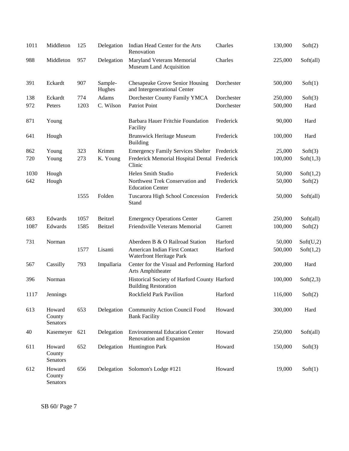| 1011 | Middleton                    | 125  | Delegation        | Indian Head Center for the Arts<br>Renovation                               | Charles    | 130,000 | Soft(2)   |
|------|------------------------------|------|-------------------|-----------------------------------------------------------------------------|------------|---------|-----------|
| 988  | Middleton                    | 957  | Delegation        | Maryland Veterans Memorial<br>Museum Land Acquisition                       | Charles    | 225,000 | Soft(all) |
| 391  | Eckardt                      | 907  | Sample-<br>Hughes | Chesapeake Grove Senior Housing<br>and Intergenerational Center             | Dorchester | 500,000 | Soft(1)   |
| 138  | Eckardt                      | 774  | Adams             | Dorchester County Family YMCA                                               | Dorchester | 250,000 | Soft(3)   |
| 972  | Peters                       | 1203 | C. Wilson         | Patriot Point                                                               | Dorchester | 500,000 | Hard      |
| 871  | Young                        |      |                   | Barbara Hauer Fritchie Foundation<br>Facility                               | Frederick  | 90,000  | Hard      |
| 641  | Hough                        |      |                   | <b>Brunswick Heritage Museum</b><br><b>Building</b>                         | Frederick  | 100,000 | Hard      |
| 862  | Young                        | 323  | Krimm             | <b>Emergency Family Services Shelter</b>                                    | Frederick  | 25,000  | Soft(3)   |
| 720  | Young                        | 273  | K. Young          | Frederick Memorial Hospital Dental Frederick<br>Clinic                      |            | 100,000 | Soft(1,3) |
| 1030 | Hough                        |      |                   | Helen Smith Studio                                                          | Frederick  | 50,000  | Soft(1,2) |
| 642  | Hough                        |      |                   | Northwest Trek Conservation and<br><b>Education Center</b>                  | Frederick  | 50,000  | Soft(2)   |
|      |                              | 1555 | Folden            | Tuscarora High School Concession<br>Stand                                   | Frederick  | 50,000  | Soft(all) |
| 683  | Edwards                      | 1057 | Beitzel           | <b>Emergency Operations Center</b>                                          | Garrett    | 250,000 | Soft(all) |
| 1087 | Edwards                      | 1585 | Beitzel           | Friendsville Veterans Memorial                                              | Garrett    | 100,000 | Soft(2)   |
| 731  | Norman                       |      |                   | Aberdeen B & O Railroad Station                                             | Harford    | 50,000  | Soft(U,2) |
|      |                              | 1577 | Lisanti           | American Indian First Contact<br>Waterfront Heritage Park                   | Harford    | 500,000 | Soft(1,2) |
| 567  | Cassilly                     | 793  | Impallaria        | Center for the Visual and Performing Harford<br>Arts Amphitheater           |            | 200,000 | Hard      |
| 396  | Norman                       |      |                   | Historical Society of Harford County Harford<br><b>Building Restoration</b> |            | 100,000 | Soft(2,3) |
| 1117 | Jennings                     |      |                   | Rockfield Park Pavilion                                                     | Harford    | 116,000 | Soft(2)   |
| 613  | Howard<br>County<br>Senators | 653  | Delegation        | <b>Community Action Council Food</b><br><b>Bank Facility</b>                | Howard     | 300,000 | Hard      |
| 40   | Kasemeyer                    | 621  | Delegation        | <b>Environmental Education Center</b><br>Renovation and Expansion           | Howard     | 250,000 | Soft(all) |
| 611  | Howard<br>County<br>Senators | 652  | Delegation        | <b>Huntington Park</b>                                                      | Howard     | 150,000 | Soft(3)   |
| 612  | Howard<br>County<br>Senators | 656  | Delegation        | Solomon's Lodge #121                                                        | Howard     | 19,000  | Soft(1)   |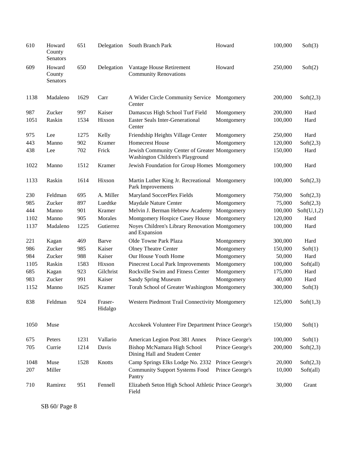| 610  | Howard<br>County<br>Senators | 651  | Delegation         | South Branch Park                                                                 | Howard          | 100,000 | Soft(3)     |
|------|------------------------------|------|--------------------|-----------------------------------------------------------------------------------|-----------------|---------|-------------|
| 609  | Howard<br>County<br>Senators | 650  | Delegation         | Vantage House Retirement<br><b>Community Renovations</b>                          | Howard          | 250,000 | Soft(2)     |
| 1138 | Madaleno                     | 1629 | Carr               | A Wider Circle Community Service<br>Center                                        | Montgomery      | 200,000 | Soft(2,3)   |
| 987  | Zucker                       | 997  | Kaiser             | Damascus High School Turf Field                                                   | Montgomery      | 200,000 | Hard        |
| 1051 | Raskin                       | 1534 | Hixson             | <b>Easter Seals Inter-Generational</b><br>Center                                  | Montgomery      | 100,000 | Hard        |
| 975  | Lee                          | 1275 | Kelly              | Friendship Heights Village Center                                                 | Montgomery      | 250,000 | Hard        |
| 443  | Manno                        | 902  | Kramer             | Homecrest House                                                                   | Montgomery      | 120,000 | Soft(2,3)   |
| 438  | Lee                          | 702  | Frick              | Jewish Community Center of Greater Montgomery<br>Washington Children's Playground |                 | 150,000 | Hard        |
| 1022 | Manno                        | 1512 | Kramer             | Jewish Foundation for Group Homes Montgomery                                      |                 | 100,000 | Hard        |
| 1133 | Raskin                       | 1614 | Hixson             | Martin Luther King Jr. Recreational Montgomery<br>Park Improvements               |                 | 100,000 | Soft(2,3)   |
| 230  | Feldman                      | 695  | A. Miller          | Maryland SoccerPlex Fields                                                        | Montgomery      | 750,000 | Soft(2,3)   |
| 985  | Zucker                       | 897  | Luedtke            | Maydale Nature Center                                                             | Montgomery      | 75,000  | Soft(2,3)   |
| 444  | Manno                        | 901  | Kramer             | Melvin J. Berman Hebrew Academy                                                   | Montgomery      | 100,000 | Soft(U,1,2) |
| 1102 | Manno                        | 905  | Morales            | Montgomery Hospice Casey House                                                    | Montgomery      | 120,000 | Hard        |
| 1137 | Madaleno                     | 1225 | Gutierrez          | Noyes Children's Library Renovation Montgomery<br>and Expansion                   |                 | 100,000 | Hard        |
| 221  | Kagan                        | 469  | Barve              | Olde Towne Park Plaza                                                             | Montgomery      | 300,000 | Hard        |
| 986  | Zucker                       | 985  | Kaiser             | <b>Olney Theatre Center</b>                                                       | Montgomery      | 150,000 | Soft(1)     |
| 984  | Zucker                       | 988  | Kaiser             | Our House Youth Home                                                              | Montgomery      | 50,000  | Hard        |
| 1105 | Raskin                       | 1583 | Hixson             | Pinecrest Local Park Improvements                                                 | Montgomery      | 100,000 | Soft(all)   |
| 685  | Kagan                        | 923  | Gilchrist          | Rockville Swim and Fitness Center                                                 | Montgomery      | 175,000 | Hard        |
| 983  | Zucker                       | 991  | Kaiser             | Sandy Spring Museum                                                               | Montgomery      | 40,000  | Hard        |
| 1152 | Manno                        | 1625 | Kramer             | Torah School of Greater Washington Montgomery                                     |                 | 300,000 | Soft(3)     |
| 838  | Feldman                      | 924  | Fraser-<br>Hidalgo | Western Piedmont Trail Connectivity Montgomery                                    |                 | 125,000 | Soft(1,3)   |
| 1050 | Muse                         |      |                    | Accokeek Volunteer Fire Department Prince George's                                |                 | 150,000 | Soft(1)     |
| 675  | Peters                       | 1231 | Vallario           | American Legion Post 381 Annex                                                    | Prince George's | 100,000 | Soft(1)     |
| 705  | Currie                       | 1214 | Davis              | Bishop McNamara High School<br>Dining Hall and Student Center                     | Prince George's | 200,000 | Soft(2,3)   |
| 1048 | Muse                         | 1528 | Knotts             | Camp Springs Elks Lodge No. 2332                                                  | Prince George's | 20,000  | Soft(2,3)   |
| 207  | Miller                       |      |                    | <b>Community Support Systems Food</b><br>Pantry                                   | Prince George's | 10,000  | Soft(all)   |
| 710  | Ramirez                      | 951  | Fennell            | Elizabeth Seton High School Athletic Prince George's<br>Field                     |                 | 30,000  | Grant       |

SB 60/ Page 8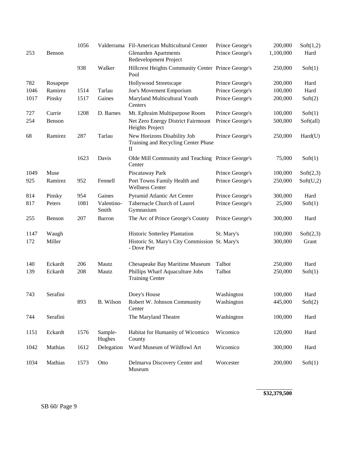|      |          | 1056 |                     | Valderrama Fil-American Multicultural Center                            | Prince George's | 200,000   | Soft(1,2) |
|------|----------|------|---------------------|-------------------------------------------------------------------------|-----------------|-----------|-----------|
| 253  | Benson   |      |                     | <b>Glenarden Apartments</b><br>Redevelopment Project                    | Prince George's | 1,100,000 | Hard      |
|      |          | 938  | Walker              | Hillcrest Heights Community Center Prince George's<br>Pool              |                 | 250,000   | Soft(1)   |
| 782  | Rosapepe |      |                     | Hollywood Streetscape                                                   | Prince George's | 200,000   | Hard      |
| 1046 | Ramirez  | 1514 | Tarlau              | Joe's Movement Emporium                                                 | Prince George's | 100,000   | Hard      |
| 1017 | Pinsky   | 1517 | Gaines              | Maryland Multicultural Youth<br>Centers                                 | Prince George's | 200,000   | Soft(2)   |
| 727  | Currie   | 1208 | D. Barnes           | Mt. Ephraim Multipurpose Room                                           | Prince George's | 100,000   | Soft(1)   |
| 254  | Benson   |      |                     | Net Zero Energy District Fairmount<br>Heights Project                   | Prince George's | 500,000   | Soft(all) |
| 68   | Ramirez  | 287  | Tarlau              | New Horizons Disability Job<br>Training and Recycling Center Phase<br>П | Prince George's | 250,000   | Hard(U)   |
|      |          | 1623 | Davis               | Olde Mill Community and Teaching Prince George's<br>Center              |                 | 75,000    | Soft(1)   |
| 1049 | Muse     |      |                     | Piscataway Park                                                         | Prince George's | 100,000   | Soft(2,3) |
| 925  | Ramirez  | 952  | Fennell             | Port Towns Family Health and<br><b>Wellness Center</b>                  | Prince George's | 250,000   | Soft(U,2) |
| 814  | Pinsky   | 954  | Gaines              | Pyramid Atlantic Art Center                                             | Prince George's | 300,000   | Hard      |
| 817  | Peters   | 1081 | Valentino-<br>Smith | Tabernacle Church of Laurel<br>Gymnasium                                | Prince George's | 25,000    | Soft(1)   |
| 255  | Benson   | 207  | Barron              | The Arc of Prince George's County                                       | Prince George's | 300,000   | Hard      |
| 1147 | Waugh    |      |                     | Historic Sotterley Plantation                                           | St. Mary's      | 100,000   | Soft(2,3) |
| 172  | Miller   |      |                     | Historic St. Mary's City Commission St. Mary's<br>- Dove Pier           |                 | 300,000   | Grant     |
| 140  | Eckardt  | 206  | Mautz               | Chesapeake Bay Maritime Museum                                          | Talbot          | 250,000   | Hard      |
| 139  | Eckardt  | 208  | Mautz               | Phillips Wharf Aquaculture Jobs<br><b>Training Center</b>               | Talbot          | 250,000   | Soft(1)   |
| 743  | Serafini |      |                     | Doey's House                                                            | Washington      | 100,000   | Hard      |
|      |          | 893  | B. Wilson           | Robert W. Johnson Community<br>Center                                   | Washington      | 445,000   | Soft(2)   |
| 744  | Serafini |      |                     | The Maryland Theatre                                                    | Washington      | 100,000   | Hard      |
| 1151 | Eckardt  | 1576 | Sample-<br>Hughes   | Habitat for Humanity of Wicomico<br>County                              | Wicomico        | 120,000   | Hard      |
| 1042 | Mathias  | 1612 | Delegation          | Ward Museum of Wildfowl Art                                             | Wicomico        | 300,000   | Hard      |
| 1034 | Mathias  | 1573 | Otto                | Delmarva Discovery Center and<br>Museum                                 | Worcester       | 200,000   | Soft(1)   |